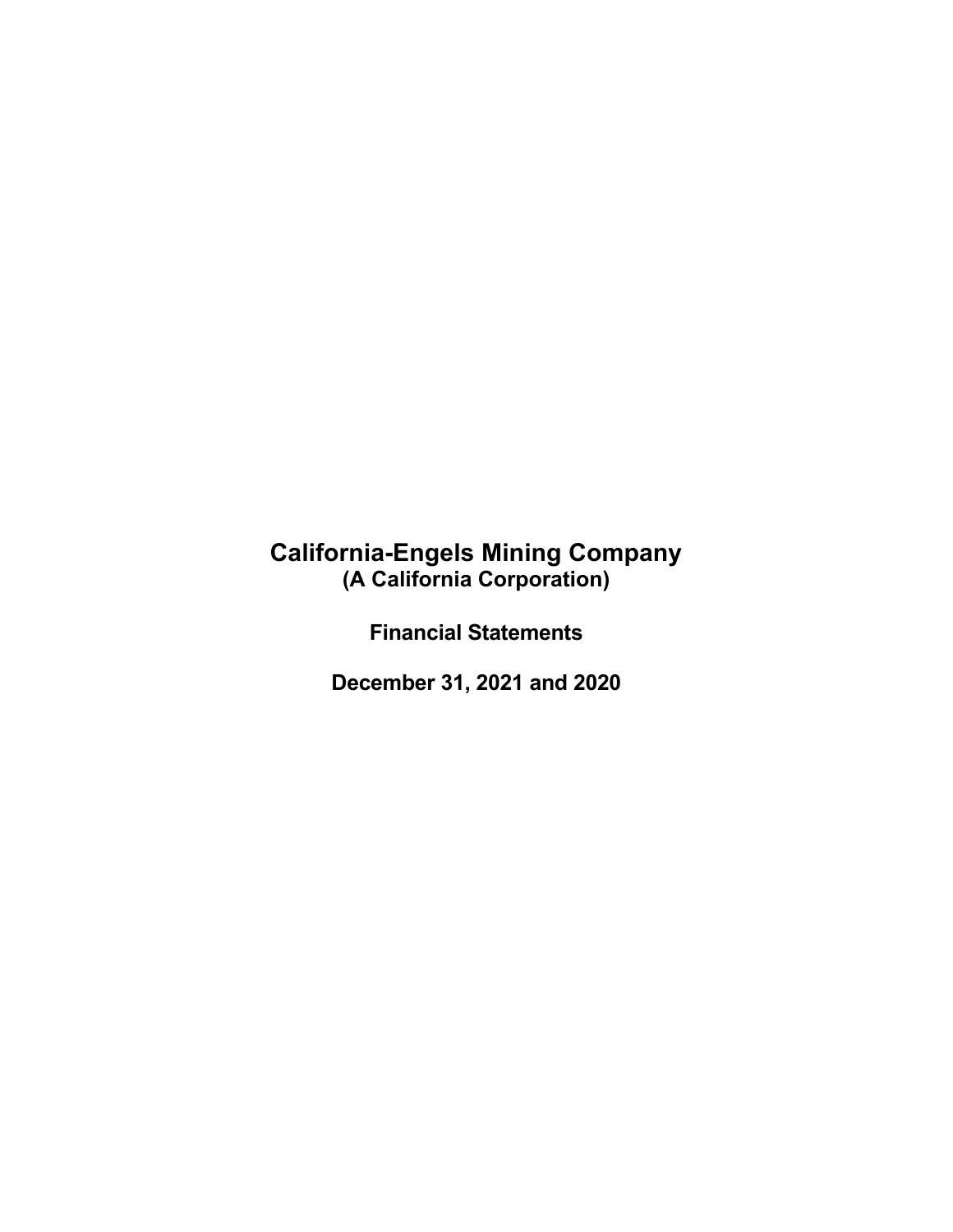# **California-Engels Mining Company (A California Corporation)**

**Financial Statements**

**December 31, 2021 and 2020**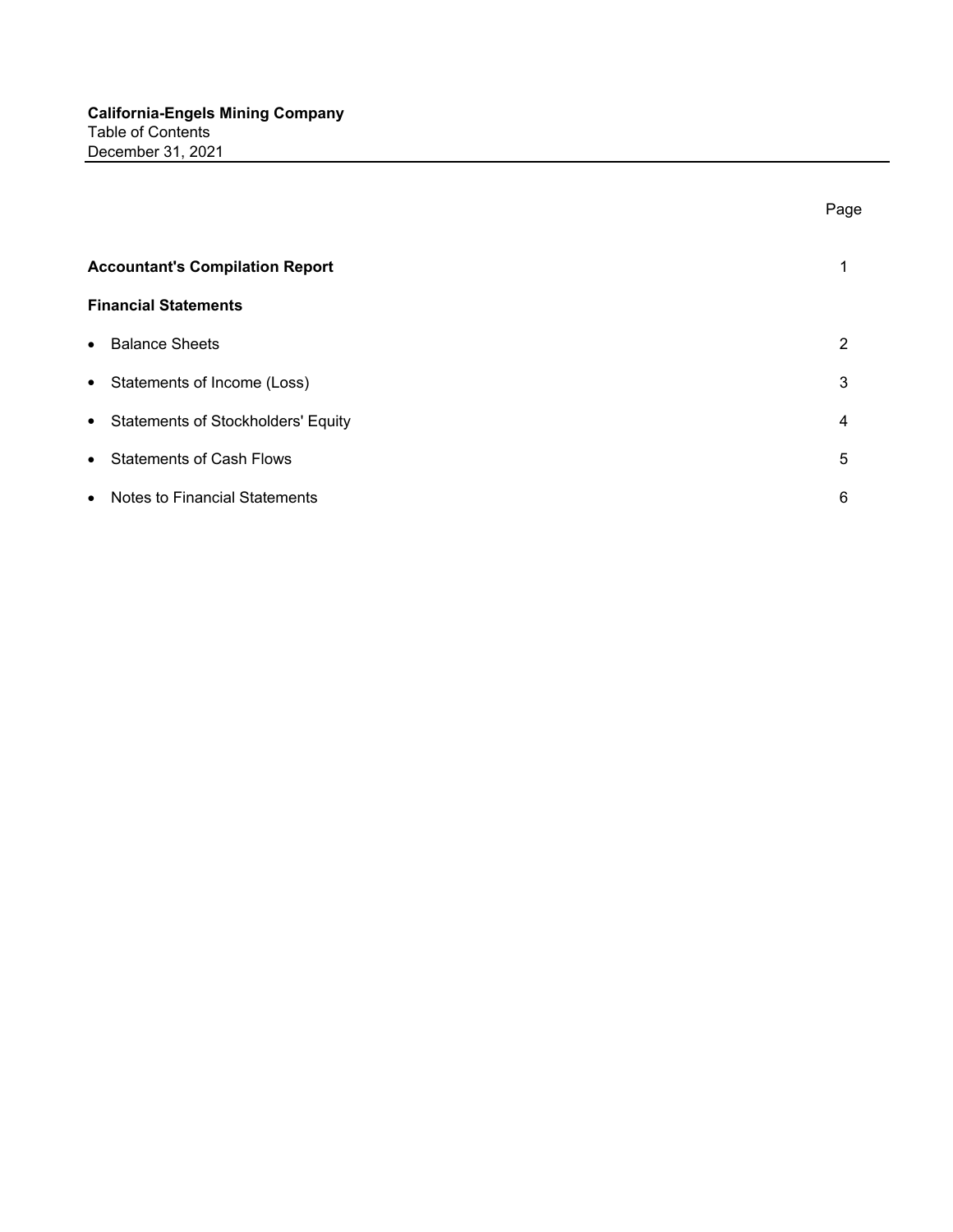|                                                   | Page |
|---------------------------------------------------|------|
| <b>Accountant's Compilation Report</b>            | 1    |
| <b>Financial Statements</b>                       |      |
| <b>Balance Sheets</b><br>$\bullet$                | 2    |
| • Statements of Income (Loss)                     | 3    |
| • Statements of Stockholders' Equity              | 4    |
| • Statements of Cash Flows                        | 5    |
| <b>Notes to Financial Statements</b><br>$\bullet$ | 6    |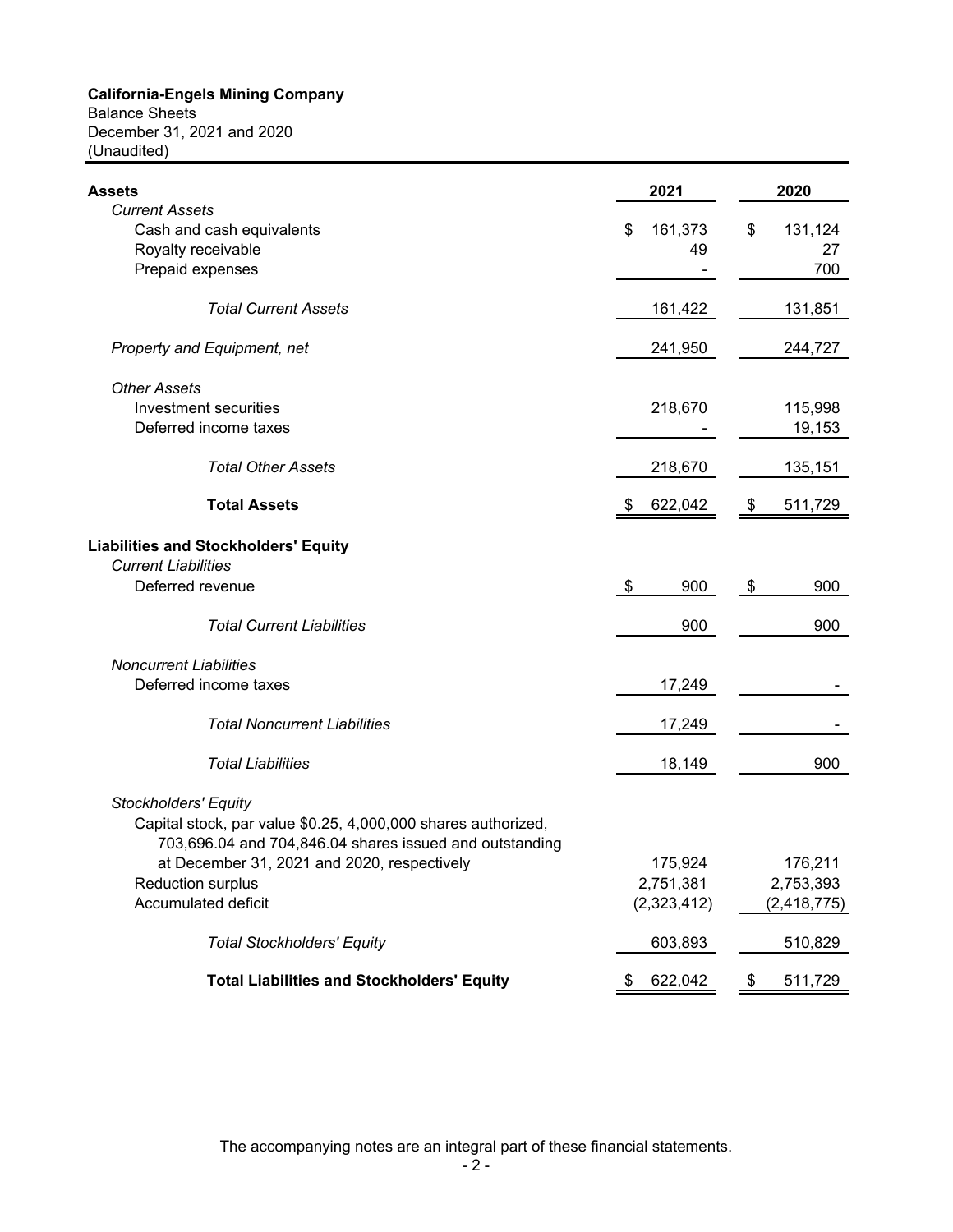Balance Sheets December 31, 2021 and 2020 (Unaudited)

| <b>Assets</b>                                                 | 2021          | 2020          |
|---------------------------------------------------------------|---------------|---------------|
| <b>Current Assets</b>                                         |               |               |
| Cash and cash equivalents                                     | 161,373<br>\$ | \$<br>131,124 |
| Royalty receivable                                            | 49            | 27            |
| Prepaid expenses                                              |               | 700           |
| <b>Total Current Assets</b>                                   | 161,422       | 131,851       |
| Property and Equipment, net                                   | 241,950       | 244,727       |
| <b>Other Assets</b>                                           |               |               |
| Investment securities                                         | 218,670       | 115,998       |
| Deferred income taxes                                         |               | 19,153        |
| <b>Total Other Assets</b>                                     | 218,670       | 135,151       |
| <b>Total Assets</b>                                           | \$<br>622,042 | 511,729<br>\$ |
| <b>Liabilities and Stockholders' Equity</b>                   |               |               |
| <b>Current Liabilities</b>                                    |               |               |
| Deferred revenue                                              | \$<br>900     | \$<br>900     |
|                                                               |               |               |
| <b>Total Current Liabilities</b>                              | 900           | 900           |
| <b>Noncurrent Liabilities</b>                                 |               |               |
| Deferred income taxes                                         | 17,249        |               |
| <b>Total Noncurrent Liabilities</b>                           | 17,249        |               |
|                                                               |               |               |
| <b>Total Liabilities</b>                                      | 18,149        | 900           |
| <b>Stockholders' Equity</b>                                   |               |               |
| Capital stock, par value \$0.25, 4,000,000 shares authorized, |               |               |
| 703,696.04 and 704,846.04 shares issued and outstanding       |               |               |
| at December 31, 2021 and 2020, respectively                   | 175,924       | 176,211       |
| Reduction surplus                                             | 2,751,381     | 2,753,393     |
| Accumulated deficit                                           | (2,323,412)   | (2, 418, 775) |
| <b>Total Stockholders' Equity</b>                             | 603,893       | 510,829       |
|                                                               |               |               |
| <b>Total Liabilities and Stockholders' Equity</b>             | 622,042       | 511,729       |

The accompanying notes are an integral part of these financial statements.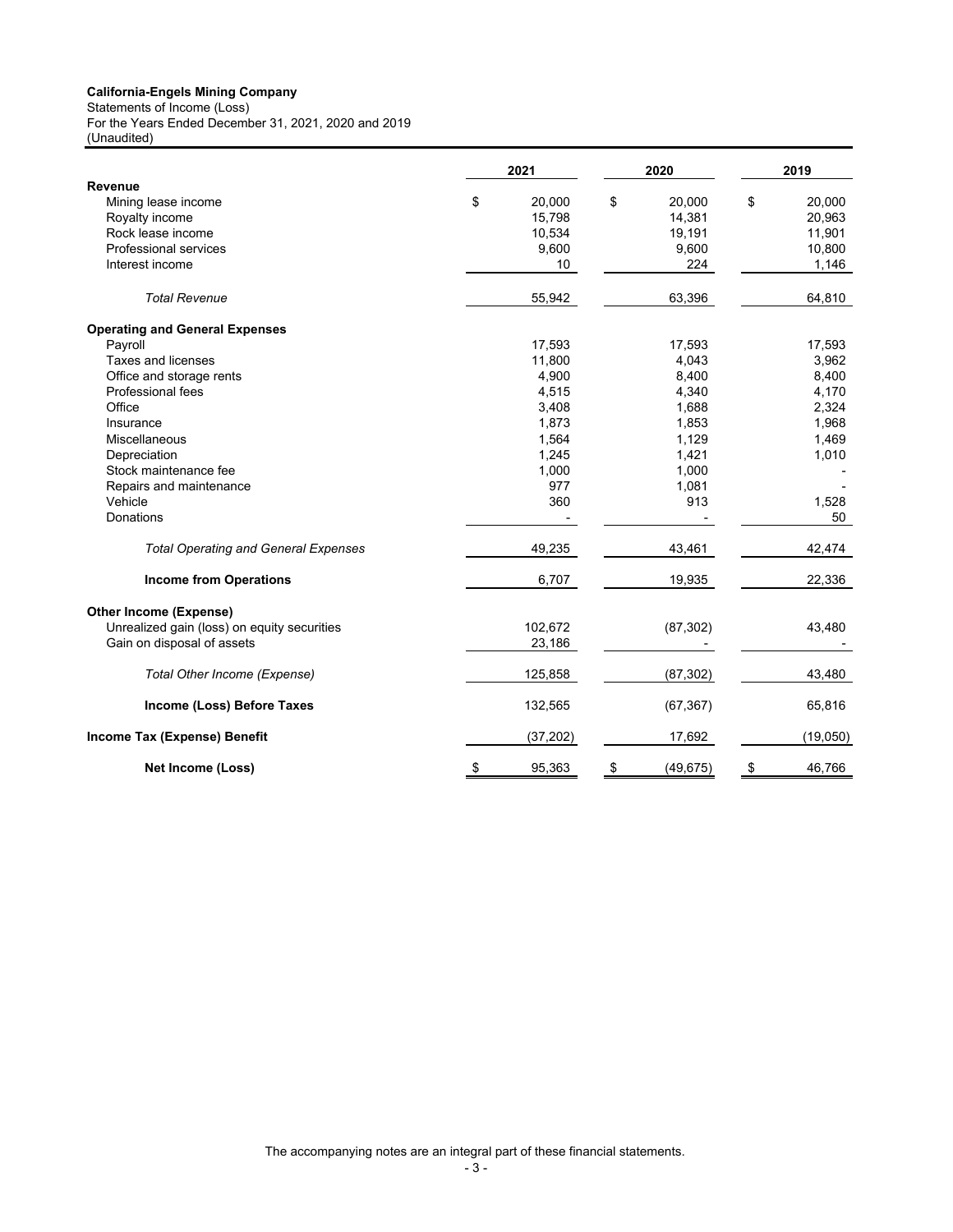Statements of Income (Loss) For the Years Ended December 31, 2021, 2020 and 2019 (Unaudited)

|                                             | 2021            | 2020            | 2019         |
|---------------------------------------------|-----------------|-----------------|--------------|
| Revenue                                     |                 |                 |              |
| Mining lease income                         | \$<br>20,000    | \$<br>20,000    | \$<br>20,000 |
| Royalty income                              | 15,798          | 14,381          | 20,963       |
| Rock lease income                           | 10,534          | 19,191          | 11,901       |
| Professional services                       | 9,600           | 9,600           | 10,800       |
| Interest income                             | 10 <sup>°</sup> | 224             | 1,146        |
| <b>Total Revenue</b>                        | 55,942          | 63,396          | 64,810       |
| <b>Operating and General Expenses</b>       |                 |                 |              |
| Payroll                                     | 17,593          | 17,593          | 17,593       |
| Taxes and licenses                          | 11,800          | 4,043           | 3,962        |
| Office and storage rents                    | 4,900           | 8,400           | 8,400        |
| Professional fees                           | 4,515           | 4,340           | 4,170        |
| Office                                      | 3,408           | 1,688           | 2,324        |
| Insurance                                   | 1,873           | 1,853           | 1,968        |
| Miscellaneous                               | 1,564           | 1,129           | 1,469        |
| Depreciation                                | 1,245           | 1,421           | 1,010        |
| Stock maintenance fee                       | 1,000           | 1,000           |              |
| Repairs and maintenance                     | 977             | 1,081           |              |
| Vehicle                                     | 360             | 913             | 1,528        |
| Donations                                   |                 |                 | 50           |
| <b>Total Operating and General Expenses</b> | 49,235          | 43,461          | 42,474       |
| <b>Income from Operations</b>               | 6,707           | 19,935          | 22,336       |
| <b>Other Income (Expense)</b>               |                 |                 |              |
| Unrealized gain (loss) on equity securities | 102,672         | (87, 302)       | 43,480       |
| Gain on disposal of assets                  | 23,186          |                 |              |
| Total Other Income (Expense)                | 125,858         | (87, 302)       | 43,480       |
| Income (Loss) Before Taxes                  | 132,565         | (67, 367)       | 65,816       |
| Income Tax (Expense) Benefit                | (37, 202)       | 17,692          | (19,050)     |
| Net Income (Loss)                           | \$<br>95,363    | \$<br>(49, 675) | \$<br>46,766 |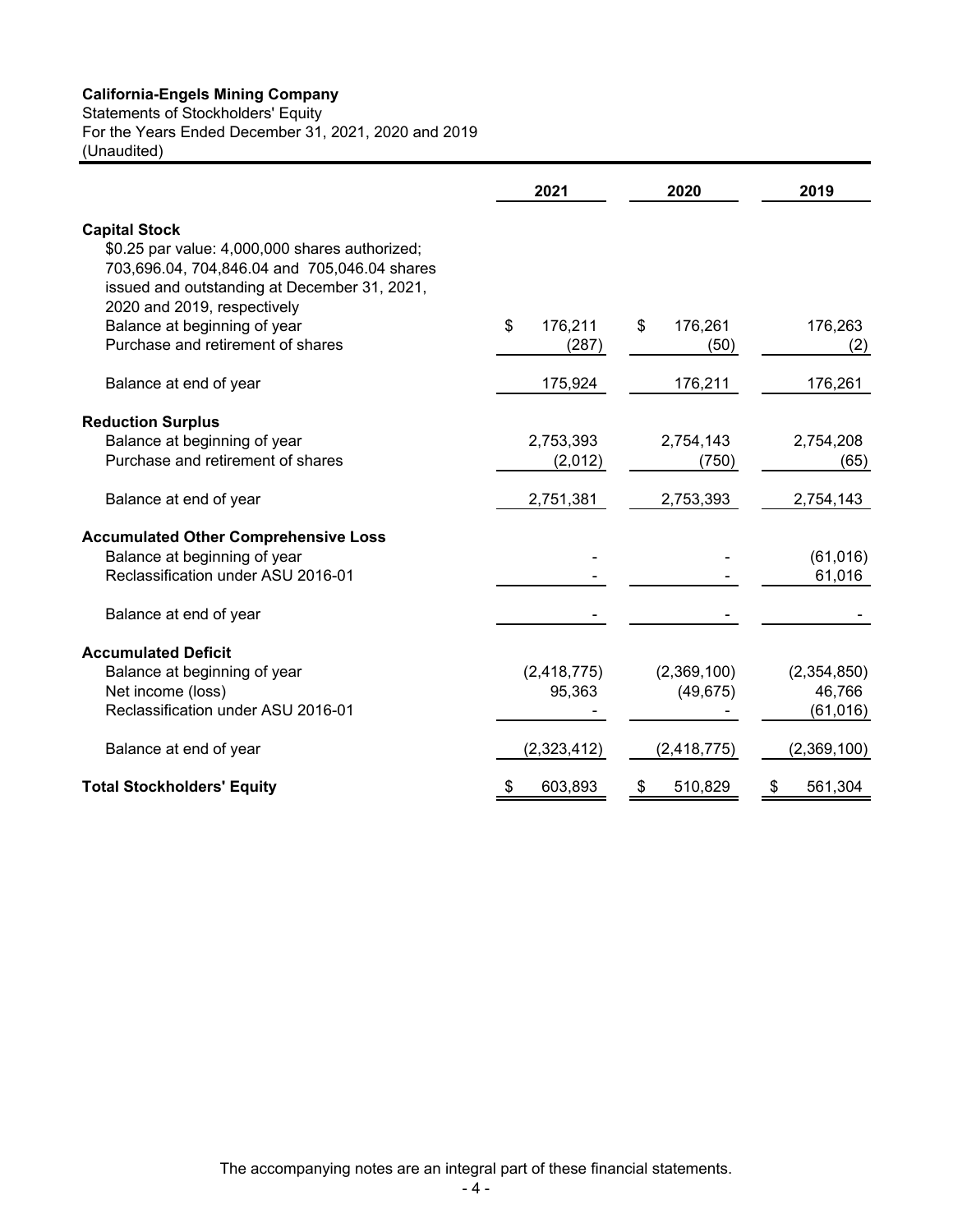Statements of Stockholders' Equity

For the Years Ended December 31, 2021, 2020 and 2019

(Unaudited)

|                                                                                                                                                                                                       | 2021                   | 2020                     | 2019                               |
|-------------------------------------------------------------------------------------------------------------------------------------------------------------------------------------------------------|------------------------|--------------------------|------------------------------------|
| <b>Capital Stock</b><br>\$0.25 par value: 4,000,000 shares authorized;<br>703,696.04, 704,846.04 and 705,046.04 shares<br>issued and outstanding at December 31, 2021,<br>2020 and 2019, respectively |                        |                          |                                    |
| Balance at beginning of year<br>Purchase and retirement of shares                                                                                                                                     | \$<br>176,211<br>(287) | 176,261<br>\$<br>(50)    | 176,263<br>(2)                     |
| Balance at end of year                                                                                                                                                                                | 175,924                | 176,211                  | 176,261                            |
| <b>Reduction Surplus</b><br>Balance at beginning of year<br>Purchase and retirement of shares                                                                                                         | 2,753,393<br>(2,012)   | 2,754,143<br>(750)       | 2,754,208<br>(65)                  |
| Balance at end of year                                                                                                                                                                                | 2,751,381              | 2,753,393                | 2,754,143                          |
| <b>Accumulated Other Comprehensive Loss</b><br>Balance at beginning of year<br>Reclassification under ASU 2016-01                                                                                     |                        |                          | (61, 016)<br>61,016                |
| Balance at end of year                                                                                                                                                                                |                        |                          |                                    |
| <b>Accumulated Deficit</b><br>Balance at beginning of year<br>Net income (loss)<br>Reclassification under ASU 2016-01                                                                                 | (2,418,775)<br>95,363  | (2,369,100)<br>(49, 675) | (2,354,850)<br>46,766<br>(61, 016) |
| Balance at end of year                                                                                                                                                                                | (2,323,412)            | (2, 418, 775)            | (2,369,100)                        |
| <b>Total Stockholders' Equity</b>                                                                                                                                                                     | 603,893<br>\$          | 510,829<br>P.            | 561,304<br>P                       |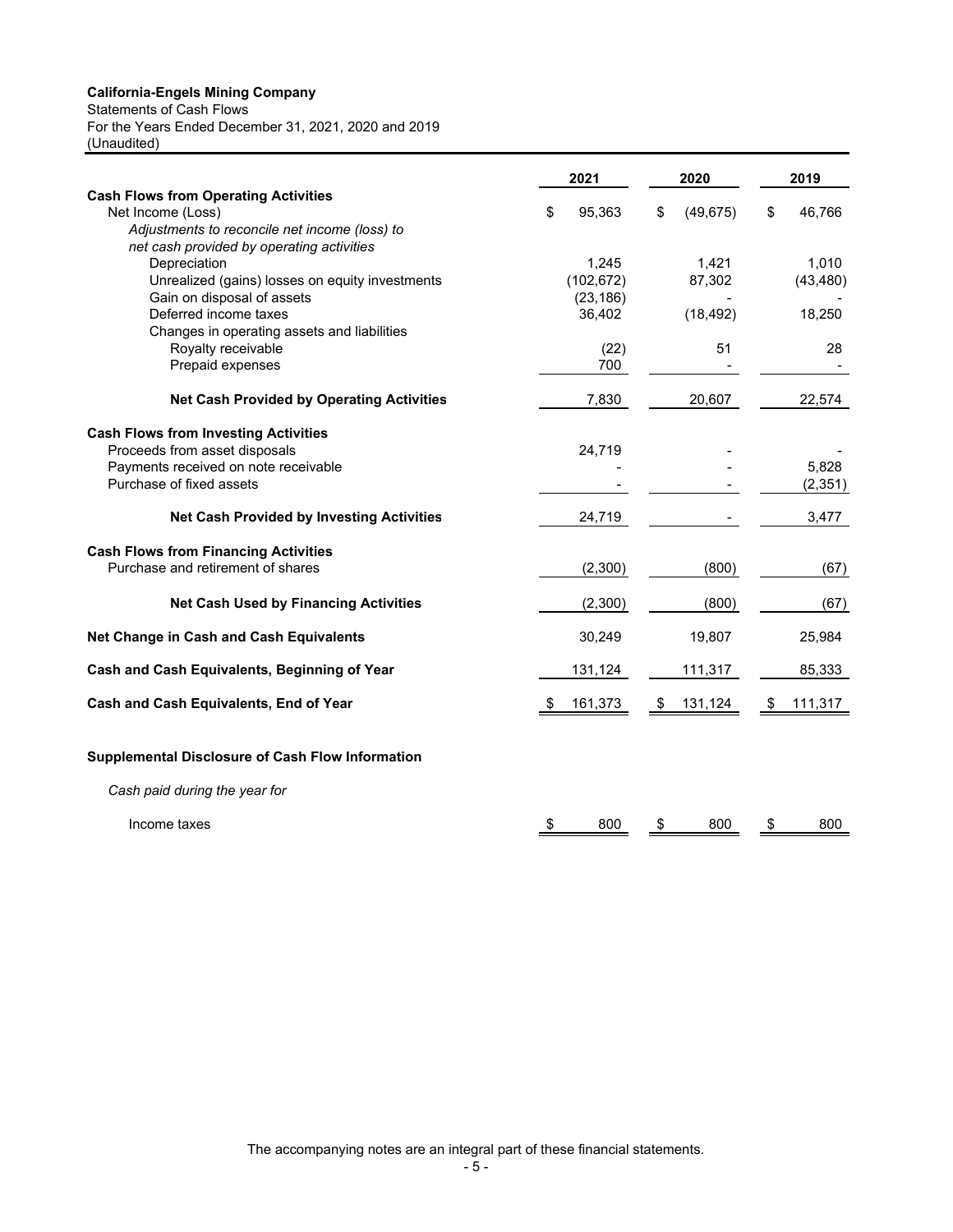Statements of Cash Flows

For the Years Ended December 31, 2021, 2020 and 2019 (Unaudited)

|                                                           | 2021         | 2020            | 2019          |  |
|-----------------------------------------------------------|--------------|-----------------|---------------|--|
| <b>Cash Flows from Operating Activities</b>               |              |                 |               |  |
| Net Income (Loss)                                         | 95,363<br>\$ | (49, 675)<br>\$ | 46,766<br>\$  |  |
| Adjustments to reconcile net income (loss) to             |              |                 |               |  |
| net cash provided by operating activities<br>Depreciation | 1,245        | 1,421           | 1,010         |  |
| Unrealized (gains) losses on equity investments           | (102, 672)   | 87,302          | (43, 480)     |  |
| Gain on disposal of assets                                | (23, 186)    |                 |               |  |
| Deferred income taxes                                     | 36,402       | (18, 492)       | 18,250        |  |
| Changes in operating assets and liabilities               |              |                 |               |  |
| Royalty receivable                                        | (22)         | 51              | 28            |  |
| Prepaid expenses                                          | 700          |                 |               |  |
|                                                           |              |                 |               |  |
| <b>Net Cash Provided by Operating Activities</b>          | 7,830        | 20,607          | 22,574        |  |
| <b>Cash Flows from Investing Activities</b>               |              |                 |               |  |
| Proceeds from asset disposals                             | 24,719       |                 |               |  |
| Payments received on note receivable                      |              |                 | 5,828         |  |
| Purchase of fixed assets                                  |              |                 | (2, 351)      |  |
| <b>Net Cash Provided by Investing Activities</b>          | 24,719       |                 | 3,477         |  |
| <b>Cash Flows from Financing Activities</b>               |              |                 |               |  |
| Purchase and retirement of shares                         | (2,300)      | (800)           | (67)          |  |
|                                                           |              |                 |               |  |
| <b>Net Cash Used by Financing Activities</b>              | (2,300)      | (800)           | (67)          |  |
| <b>Net Change in Cash and Cash Equivalents</b>            | 30,249       | 19,807          | 25,984        |  |
| Cash and Cash Equivalents, Beginning of Year              | 131,124      | 111,317         | 85,333        |  |
| Cash and Cash Equivalents, End of Year                    | 161,373      | 131,124<br>- \$ | 111,317<br>\$ |  |
|                                                           |              |                 |               |  |
| <b>Supplemental Disclosure of Cash Flow Information</b>   |              |                 |               |  |
| Cash paid during the year for                             |              |                 |               |  |
| Income taxes                                              | 800<br>\$    | \$<br>800       | \$<br>800     |  |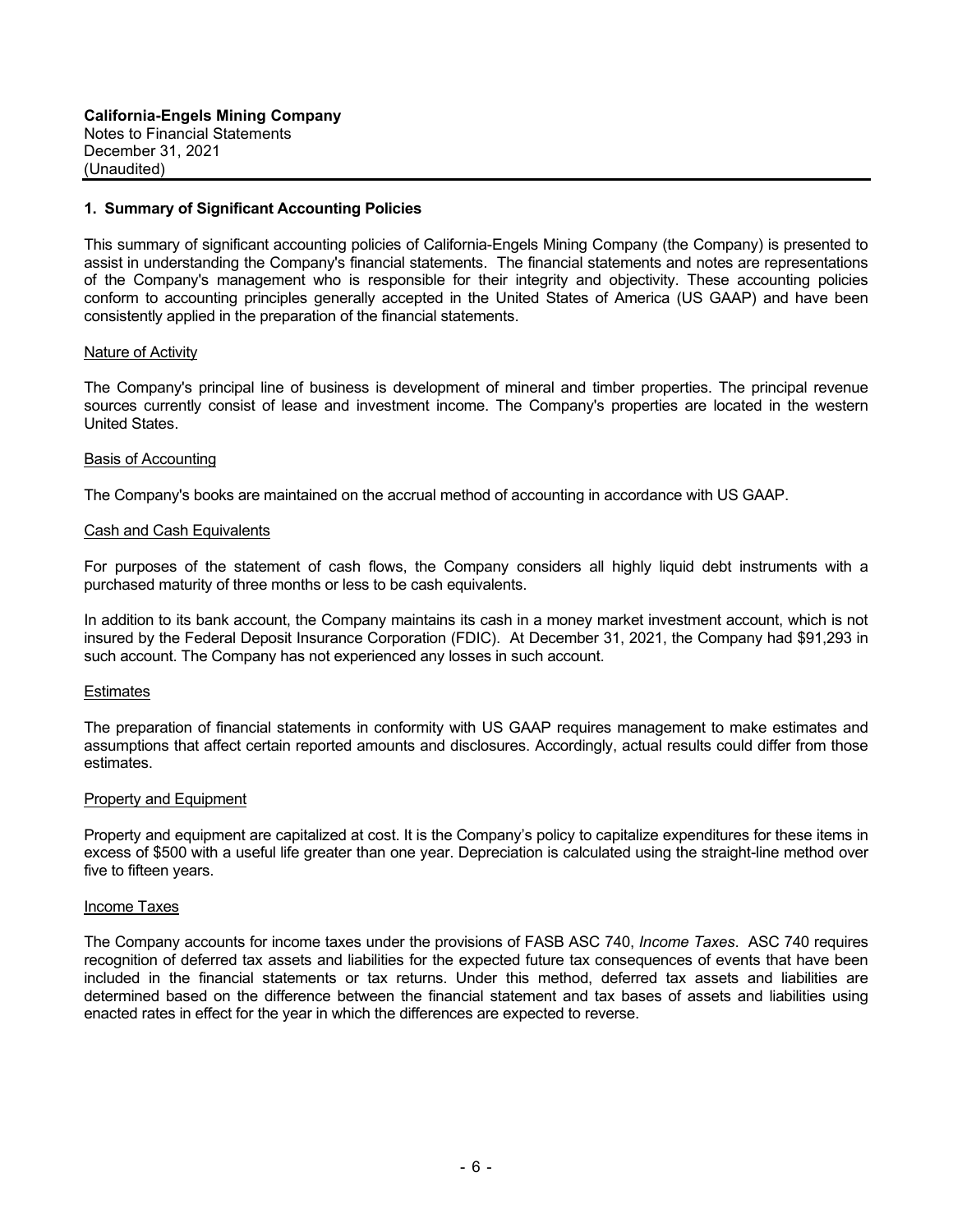#### **1. Summary of Significant Accounting Policies**

This summary of significant accounting policies of California-Engels Mining Company (the Company) is presented to assist in understanding the Company's financial statements. The financial statements and notes are representations of the Company's management who is responsible for their integrity and objectivity. These accounting policies conform to accounting principles generally accepted in the United States of America (US GAAP) and have been consistently applied in the preparation of the financial statements.

#### Nature of Activity

The Company's principal line of business is development of mineral and timber properties. The principal revenue sources currently consist of lease and investment income. The Company's properties are located in the western United States.

#### Basis of Accounting

The Company's books are maintained on the accrual method of accounting in accordance with US GAAP.

#### Cash and Cash Equivalents

For purposes of the statement of cash flows, the Company considers all highly liquid debt instruments with a purchased maturity of three months or less to be cash equivalents.

In addition to its bank account, the Company maintains its cash in a money market investment account, which is not insured by the Federal Deposit Insurance Corporation (FDIC). At December 31, 2021, the Company had \$91,293 in such account. The Company has not experienced any losses in such account.

#### **Estimates**

The preparation of financial statements in conformity with US GAAP requires management to make estimates and assumptions that affect certain reported amounts and disclosures. Accordingly, actual results could differ from those estimates.

#### Property and Equipment

Property and equipment are capitalized at cost. It is the Company's policy to capitalize expenditures for these items in excess of \$500 with a useful life greater than one year. Depreciation is calculated using the straight-line method over five to fifteen years.

#### Income Taxes

The Company accounts for income taxes under the provisions of FASB ASC 740, *Income Taxes*. ASC 740 requires recognition of deferred tax assets and liabilities for the expected future tax consequences of events that have been included in the financial statements or tax returns. Under this method, deferred tax assets and liabilities are determined based on the difference between the financial statement and tax bases of assets and liabilities using enacted rates in effect for the year in which the differences are expected to reverse.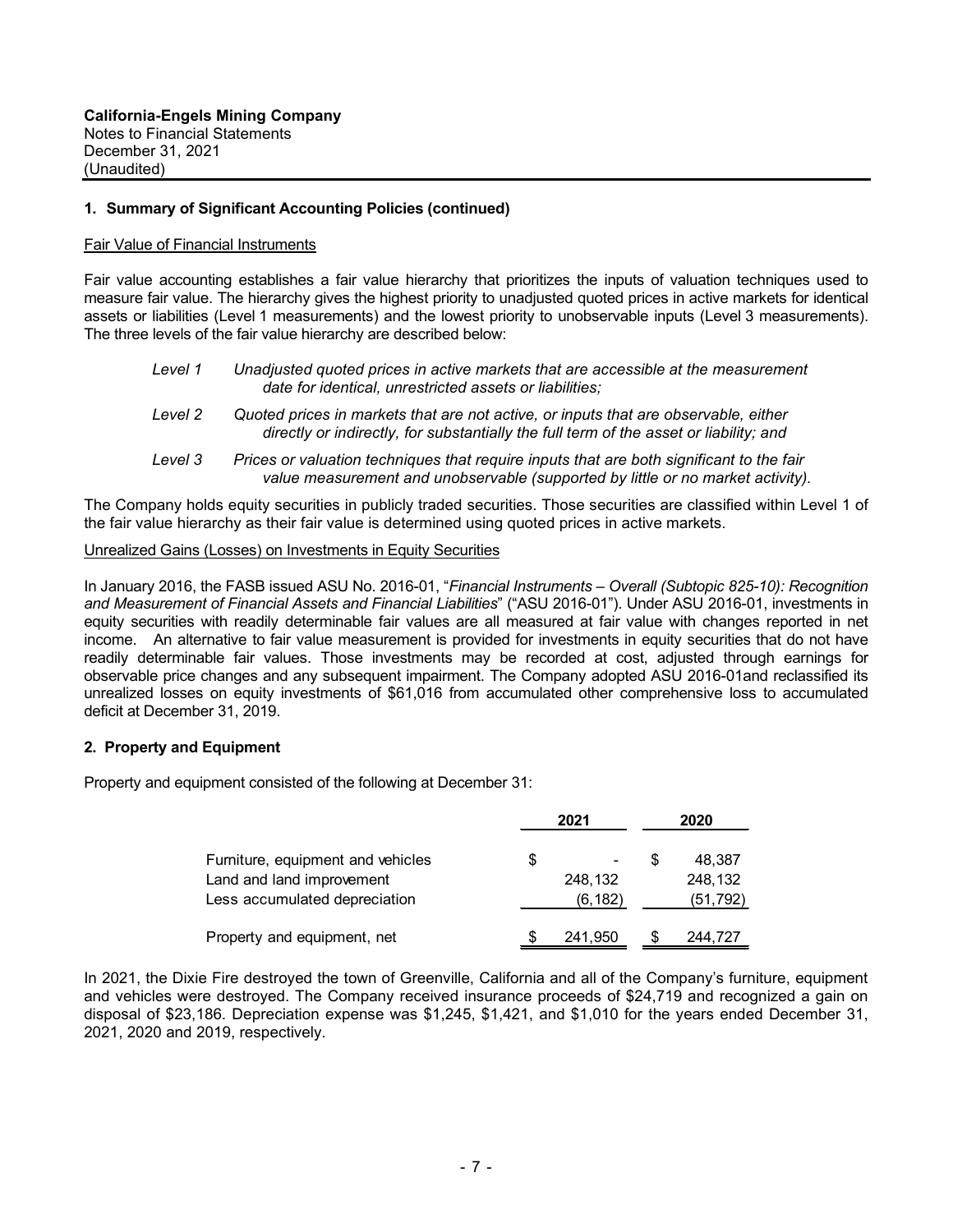#### **1. Summary of Significant Accounting Policies (continued)**

#### Fair Value of Financial Instruments

Fair value accounting establishes a fair value hierarchy that prioritizes the inputs of valuation techniques used to measure fair value. The hierarchy gives the highest priority to unadjusted quoted prices in active markets for identical assets or liabilities (Level 1 measurements) and the lowest priority to unobservable inputs (Level 3 measurements). The three levels of the fair value hierarchy are described below:

| Level 1 | Unadjusted quoted prices in active markets that are accessible at the measurement |
|---------|-----------------------------------------------------------------------------------|
|         | date for identical, unrestricted assets or liabilities;                           |

- *Level 2 Quoted prices in markets that are not active, or inputs that are observable, either directly or indirectly, for substantially the full term of the asset or liability; and*
- *Level 3 Prices or valuation techniques that require inputs that are both significant to the fair value measurement and unobservable (supported by little or no market activity).*

The Company holds equity securities in publicly traded securities. Those securities are classified within Level 1 of the fair value hierarchy as their fair value is determined using quoted prices in active markets.

#### Unrealized Gains (Losses) on Investments in Equity Securities

In January 2016, the FASB issued ASU No. 2016-01, "*Financial Instruments – Overall (Subtopic 825-10): Recognition and Measurement of Financial Assets and Financial Liabilities*" ("ASU 2016-01"). Under ASU 2016-01, investments in equity securities with readily determinable fair values are all measured at fair value with changes reported in net income. An alternative to fair value measurement is provided for investments in equity securities that do not have readily determinable fair values. Those investments may be recorded at cost, adjusted through earnings for observable price changes and any subsequent impairment. The Company adopted ASU 2016-01and reclassified its unrealized losses on equity investments of \$61,016 from accumulated other comprehensive loss to accumulated deficit at December 31, 2019.

#### **2. Property and Equipment**

Property and equipment consisted of the following at December 31:

|                                   |   | 2021     | 2020 |          |  |
|-----------------------------------|---|----------|------|----------|--|
| Furniture, equipment and vehicles | S | ۰        |      | 48.387   |  |
| Land and land improvement         |   | 248,132  |      | 248,132  |  |
| Less accumulated depreciation     |   | (6, 182) |      | (51,792) |  |
| Property and equipment, net       |   | 241,950  |      | 244.727  |  |

In 2021, the Dixie Fire destroyed the town of Greenville, California and all of the Company's furniture, equipment and vehicles were destroyed. The Company received insurance proceeds of \$24,719 and recognized a gain on disposal of \$23,186. Depreciation expense was \$1,245, \$1,421, and \$1,010 for the years ended December 31, 2021, 2020 and 2019, respectively.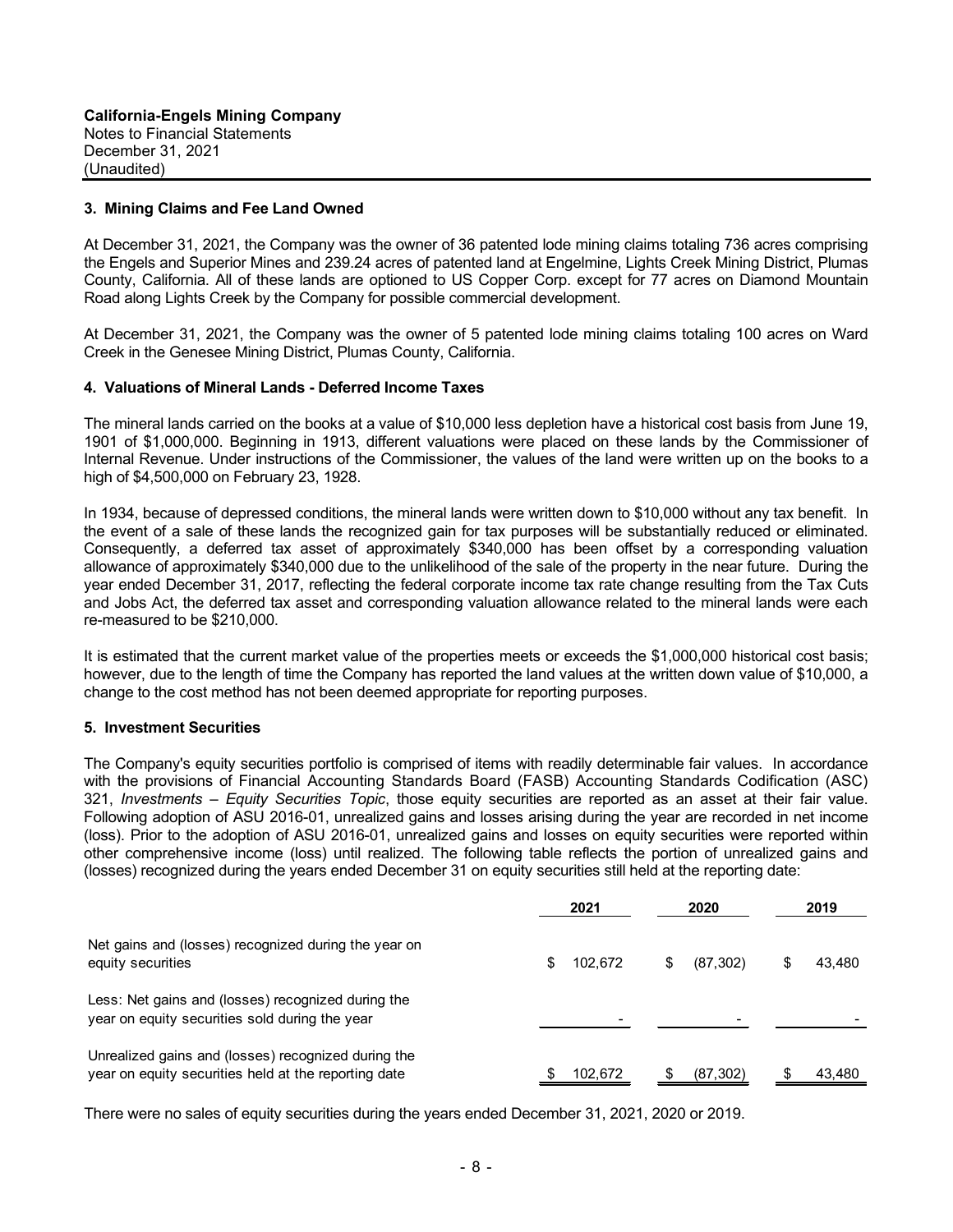#### **3. Mining Claims and Fee Land Owned**

At December 31, 2021, the Company was the owner of 36 patented lode mining claims totaling 736 acres comprising the Engels and Superior Mines and 239.24 acres of patented land at Engelmine, Lights Creek Mining District, Plumas County, California. All of these lands are optioned to US Copper Corp. except for 77 acres on Diamond Mountain Road along Lights Creek by the Company for possible commercial development.

At December 31, 2021, the Company was the owner of 5 patented lode mining claims totaling 100 acres on Ward Creek in the Genesee Mining District, Plumas County, California.

#### **4. Valuations of Mineral Lands - Deferred Income Taxes**

The mineral lands carried on the books at a value of \$10,000 less depletion have a historical cost basis from June 19, 1901 of \$1,000,000. Beginning in 1913, different valuations were placed on these lands by the Commissioner of Internal Revenue. Under instructions of the Commissioner, the values of the land were written up on the books to a high of \$4,500,000 on February 23, 1928.

In 1934, because of depressed conditions, the mineral lands were written down to \$10,000 without any tax benefit. In the event of a sale of these lands the recognized gain for tax purposes will be substantially reduced or eliminated. Consequently, a deferred tax asset of approximately \$340,000 has been offset by a corresponding valuation allowance of approximately \$340,000 due to the unlikelihood of the sale of the property in the near future. During the year ended December 31, 2017, reflecting the federal corporate income tax rate change resulting from the Tax Cuts and Jobs Act, the deferred tax asset and corresponding valuation allowance related to the mineral lands were each re-measured to be \$210,000.

It is estimated that the current market value of the properties meets or exceeds the \$1,000,000 historical cost basis; however, due to the length of time the Company has reported the land values at the written down value of \$10,000, a change to the cost method has not been deemed appropriate for reporting purposes.

#### **5. Investment Securities**

The Company's equity securities portfolio is comprised of items with readily determinable fair values. In accordance with the provisions of Financial Accounting Standards Board (FASB) Accounting Standards Codification (ASC) 321, *Investments – Equity Securities Topic*, those equity securities are reported as an asset at their fair value. Following adoption of ASU 2016-01, unrealized gains and losses arising during the year are recorded in net income (loss). Prior to the adoption of ASU 2016-01, unrealized gains and losses on equity securities were reported within other comprehensive income (loss) until realized. The following table reflects the portion of unrealized gains and (losses) recognized during the years ended December 31 on equity securities still held at the reporting date:

|                                                                                                             | 2021          | 2020            | 2019   |  |
|-------------------------------------------------------------------------------------------------------------|---------------|-----------------|--------|--|
| Net gains and (losses) recognized during the year on<br>equity securities                                   | \$<br>102.672 | \$<br>(87, 302) | 43,480 |  |
| Less: Net gains and (losses) recognized during the<br>year on equity securities sold during the year        |               |                 |        |  |
| Unrealized gains and (losses) recognized during the<br>year on equity securities held at the reporting date | 102.672       | (87, 302)       | 43.480 |  |

There were no sales of equity securities during the years ended December 31, 2021, 2020 or 2019.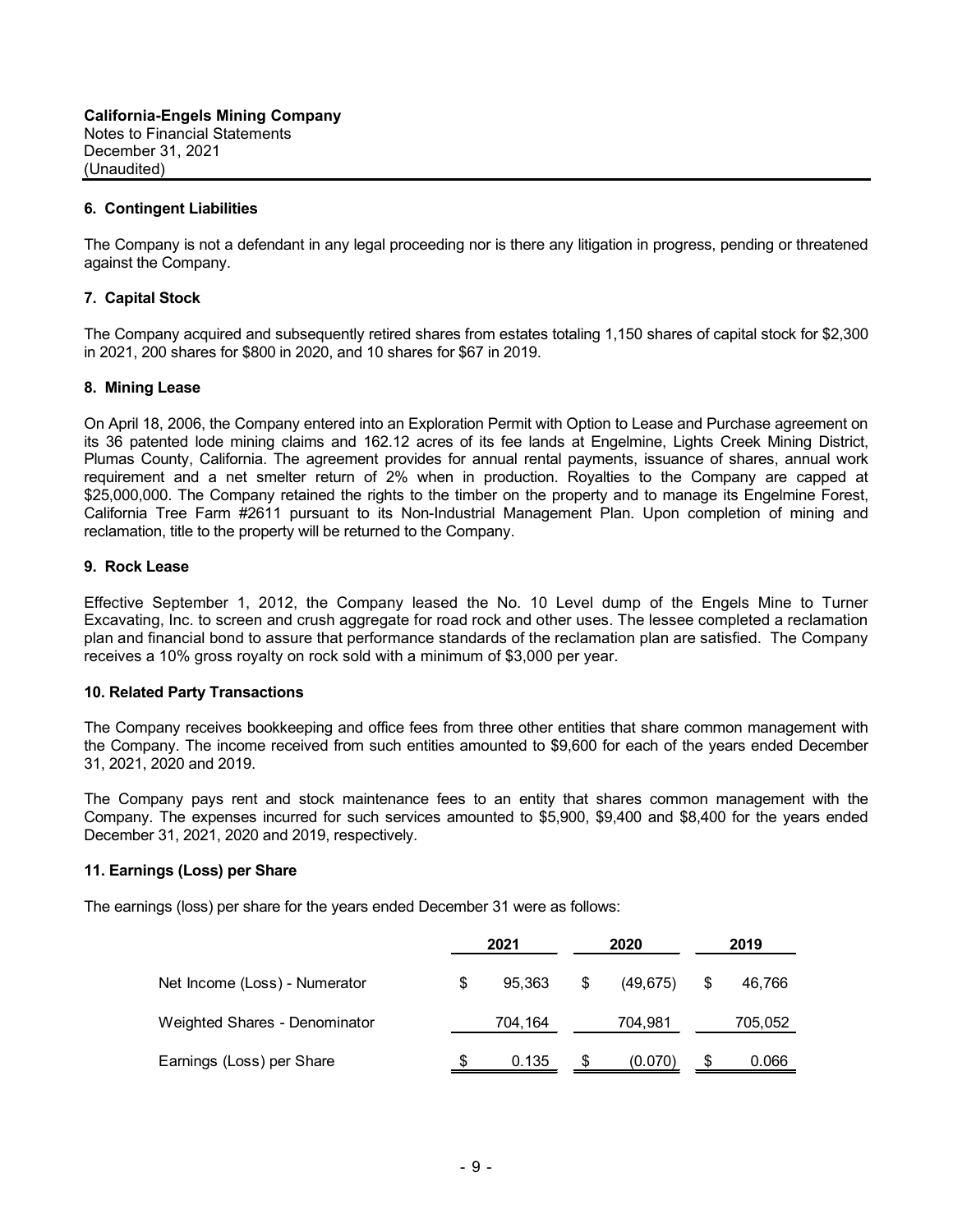### **6. Contingent Liabilities**

The Company is not a defendant in any legal proceeding nor is there any litigation in progress, pending or threatened against the Company.

#### **7. Capital Stock**

The Company acquired and subsequently retired shares from estates totaling 1,150 shares of capital stock for \$2,300 in 2021, 200 shares for \$800 in 2020, and 10 shares for \$67 in 2019.

#### **8. Mining Lease**

On April 18, 2006, the Company entered into an Exploration Permit with Option to Lease and Purchase agreement on its 36 patented lode mining claims and 162.12 acres of its fee lands at Engelmine, Lights Creek Mining District, Plumas County, California. The agreement provides for annual rental payments, issuance of shares, annual work requirement and a net smelter return of 2% when in production. Royalties to the Company are capped at \$25,000,000. The Company retained the rights to the timber on the property and to manage its Engelmine Forest, California Tree Farm #2611 pursuant to its Non-Industrial Management Plan. Upon completion of mining and reclamation, title to the property will be returned to the Company.

#### **9. Rock Lease**

Effective September 1, 2012, the Company leased the No. 10 Level dump of the Engels Mine to Turner Excavating, Inc. to screen and crush aggregate for road rock and other uses. The lessee completed a reclamation plan and financial bond to assure that performance standards of the reclamation plan are satisfied. The Company receives a 10% gross royalty on rock sold with a minimum of \$3,000 per year.

#### **10. Related Party Transactions**

The Company receives bookkeeping and office fees from three other entities that share common management with the Company. The income received from such entities amounted to \$9,600 for each of the years ended December 31, 2021, 2020 and 2019.

The Company pays rent and stock maintenance fees to an entity that shares common management with the Company. The expenses incurred for such services amounted to \$5,900, \$9,400 and \$8,400 for the years ended December 31, 2021, 2020 and 2019, respectively.

#### **11. Earnings (Loss) per Share**

The earnings (loss) per share for the years ended December 31 were as follows:

|                               | 2021 |         | 2020 |           | 2019 |         |
|-------------------------------|------|---------|------|-----------|------|---------|
| Net Income (Loss) - Numerator | \$   | 95.363  | \$   | (49, 675) | \$   | 46.766  |
| Weighted Shares - Denominator |      | 704,164 |      | 704,981   |      | 705,052 |
| Earnings (Loss) per Share     | S    | 0.135   | S    | (0.070)   | S    | 0.066   |